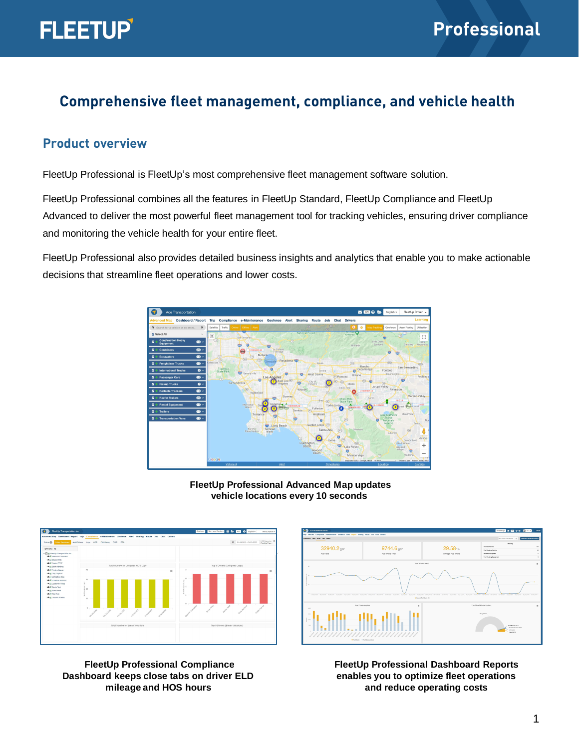

# **Comprehensive fleet management, compliance, and vehicle health**

#### **Product overview**

FleetUp Professional is FleetUp's most comprehensive fleet management software solution.

FleetUp Professional combines all the features in FleetUp Standard, FleetUp Compliance and FleetUp Advanced to deliver the most powerful fleet management tool for tracking vehicles, ensuring driver compliance and monitoring the vehicle health for your entire fleet.

FleetUp Professional also provides detailed business insights and analytics that enable you to make actionable decisions that streamline fleet operations and lower costs.



**FleetUp Professional Advanced Map updates vehicle locations every 10 seconds**



**FleetUp Professional Compliance Dashboard keeps close tabs on driver ELD mileage and HOS hours**



**FleetUp Professional Dashboard Reports enables you to optimize fleet operations and reduce operating costs**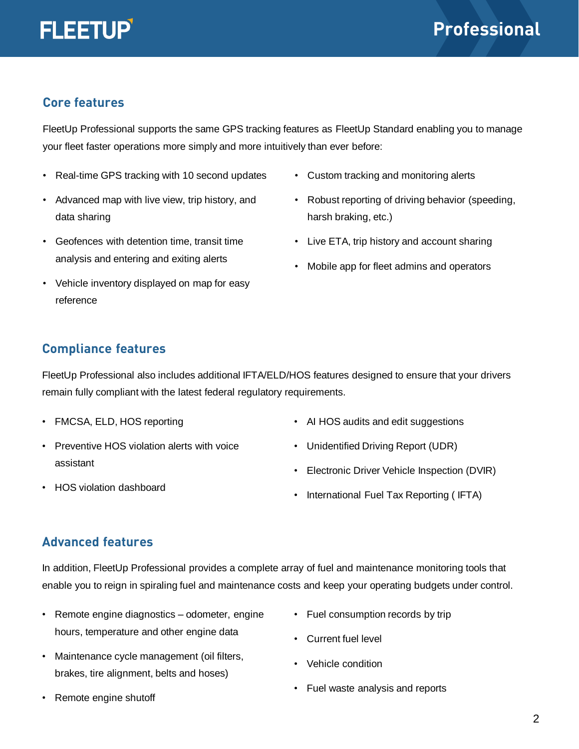

### **Core features**

FleetUp Professional supports the same GPS tracking features as FleetUp Standard enabling you to manage your fleet faster operations more simply and more intuitively than ever before:

- Real-time GPS tracking with 10 second updates
- Advanced map with live view, trip history, and data sharing
- Geofences with detention time, transit time analysis and entering and exiting alerts
- Vehicle inventory displayed on map for easy reference
- Custom tracking and monitoring alerts
- Robust reporting of driving behavior (speeding, harsh braking, etc.)
- Live ETA, trip history and account sharing
- Mobile app for fleet admins and operators

### **Compliance features**

FleetUp Professional also includes additional IFTA/ELD/HOS features designed to ensure that your drivers remain fully compliant with the latest federal regulatory requirements.

- FMCSA, ELD, HOS reporting
- Preventive HOS violation alerts with voice assistant
- AI HOS audits and edit suggestions
- Unidentified Driving Report (UDR)
- Electronic Driver Vehicle Inspection (DVIR)
- International Fuel Tax Reporting ( IFTA)

# • HOS violation dashboard

### **Advanced features**

In addition, FleetUp Professional provides a complete array of fuel and maintenance monitoring tools that enable you to reign in spiraling fuel and maintenance costs and keep your operating budgets under control.

- Remote engine diagnostics odometer, engine hours, temperature and other engine data
- Maintenance cycle management (oil filters, brakes, tire alignment, belts and hoses)
- Remote engine shutoff
- Fuel consumption records by trip
- Current fuel level
- Vehicle condition
- Fuel waste analysis and reports